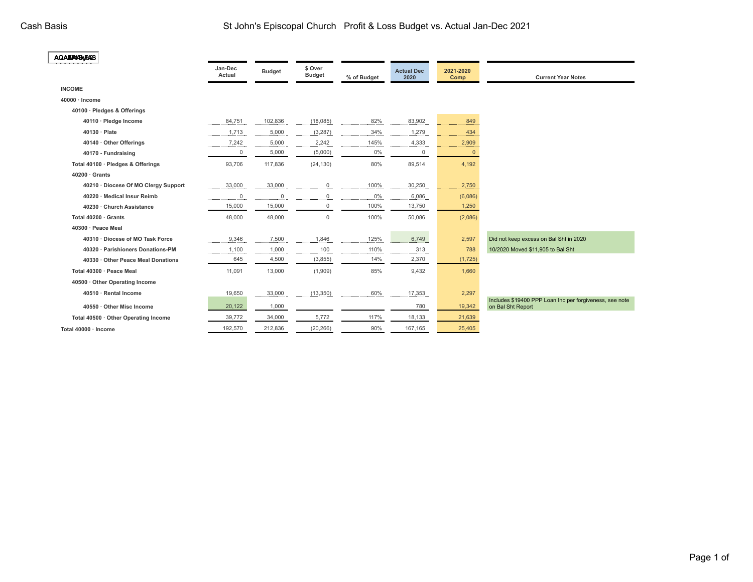| <b>AQAEPA/BAR/ES</b>                 |                   |               |                          |             |                           |                   |                                                                              |
|--------------------------------------|-------------------|---------------|--------------------------|-------------|---------------------------|-------------------|------------------------------------------------------------------------------|
|                                      | Jan-Dec<br>Actual | <b>Budget</b> | \$ Over<br><b>Budget</b> | % of Budget | <b>Actual Dec</b><br>2020 | 2021-2020<br>Comp | <b>Current Year Notes</b>                                                    |
| <b>INCOME</b>                        |                   |               |                          |             |                           |                   |                                                                              |
| 40000 · Income                       |                   |               |                          |             |                           |                   |                                                                              |
| 40100 · Pledges & Offerings          |                   |               |                          |             |                           |                   |                                                                              |
| 40110 · Pledge Income                | 84,751            | 102,836       | (18,085)                 | 82%         | 83,902                    | 849               |                                                                              |
| 40130 · Plate                        | 1,713             | 5,000         | (3, 287)                 | 34%         | 1,279                     | 434               |                                                                              |
| 40140 · Other Offerings              | 7,242             | 5,000         | 2,242                    | 145%        | 4,333                     | 2,909             |                                                                              |
| 40170 - Fundraising                  | 0                 | 5,000         | (5,000)                  | 0%          | $\mathbf 0$               | $\overline{0}$    |                                                                              |
| Total 40100 · Pledges & Offerings    | 93,706            | 117,836       | (24, 130)                | 80%         | 89,514                    | 4,192             |                                                                              |
| $40200 \cdot$ Grants                 |                   |               |                          |             |                           |                   |                                                                              |
| 40210 · Diocese Of MO Clergy Support | 33,000            | 33,000        | $\mathbf 0$              | 100%        | 30,250                    | 2,750             |                                                                              |
| 40220 · Medical Insur Reimb          | $\mathbf 0$       | $\mathsf{O}$  | 0                        | $0\%$       | 6,086                     | (6,086)           |                                                                              |
| 40230 · Church Assistance            | 15,000            | 15,000        | $\mathbf 0$              | 100%        | 13,750                    | 1,250             |                                                                              |
| Total 40200 · Grants                 | 48,000            | 48,000        | $\mathsf 0$              | 100%        | 50,086                    | (2,086)           |                                                                              |
| 40300 · Peace Meal                   |                   |               |                          |             |                           |                   |                                                                              |
| 40310 · Diocese of MO Task Force     | 9,346             | 7,500         | 1,846                    | 125%        | 6,749                     | 2,597             | Did not keep excess on Bal Sht in 2020                                       |
| 40320 · Parishioners Donations-PM    | 1,100             | 1,000         | 100                      | 110%        | 313                       | 788               | 10/2020 Moved \$11,905 to Bal Sht                                            |
| 40330 · Other Peace Meal Donations   | 645               | 4,500         | (3,855)                  | 14%         | 2,370                     | (1,725)           |                                                                              |
| Total 40300 · Peace Meal             | 11,091            | 13,000        | (1,909)                  | 85%         | 9,432                     | 1,660             |                                                                              |
| 40500 · Other Operating Income       |                   |               |                          |             |                           |                   |                                                                              |
| 40510 · Rental Income                | 19,650            | 33,000        | (13, 350)                | 60%         | 17,353                    | 2,297             |                                                                              |
| 40550 · Other Misc Income            | 20,122            | 1,000         |                          |             | 780                       | 19,342            | Includes \$19400 PPP Loan Inc per forgiveness, see note<br>on Bal Sht Report |
| Total 40500 · Other Operating Income | 39,772            | 34,000        | 5,772                    | 117%        | 18,133                    | 21,639            |                                                                              |
| Total 40000 · Income                 | 192,570           | 212,836       | (20, 266)                | 90%         | 167,165                   | 25,405            |                                                                              |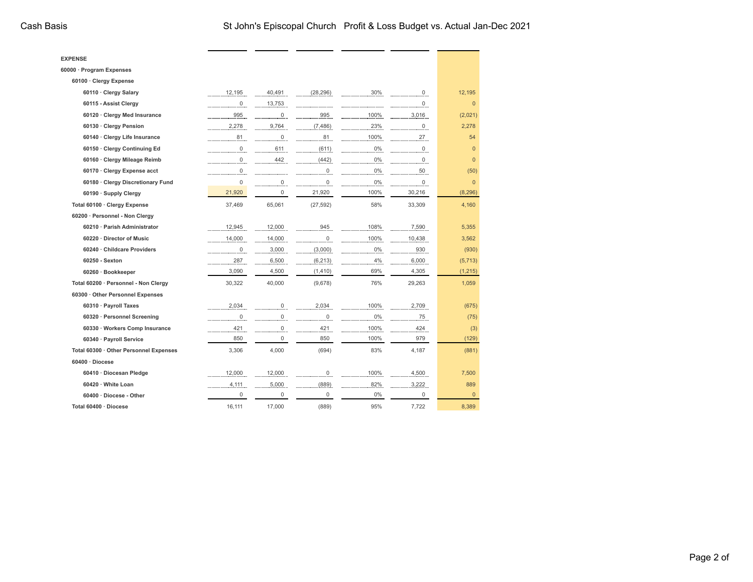$\sim$ 

- -

÷,  $\sim$ 

| <b>EXPENSE</b>                         |                |                |                     |       |                 |                |
|----------------------------------------|----------------|----------------|---------------------|-------|-----------------|----------------|
| 60000 · Program Expenses               |                |                |                     |       |                 |                |
| 60100 · Clergy Expense                 |                |                |                     |       |                 |                |
| 60110 · Clergy Salary                  | 12,195         | 40,491         | (28, 296)           | 30%   | $\overline{0}$  | 12,195         |
| 60115 - Assist Clergy                  | $\overline{0}$ | 13,753         |                     |       | $\underline{0}$ | $\overline{0}$ |
| 60120 · Clergy Med Insurance           | 995            | $\overline{0}$ | 995                 | 100%  | 3,016           | (2,021)        |
| 60130 · Clergy Pension                 | 2,278          | 9,764          | (7, 486)            | 23%   | $\mathbf 0$     | 2,278          |
| 60140 · Clergy Life Insurance          | 81             | $\mathsf 0$    | 81                  | 100%  | 27              | 54             |
| 60150 · Clergy Continuing Ed           | $\overline{0}$ | 611            | (611)               | $0\%$ | $\overline{0}$  | $\overline{0}$ |
| 60160 · Clergy Mileage Reimb           | $\overline{0}$ | 442            | (442)               | 0%    | $\overline{0}$  | $\overline{0}$ |
| 60170 · Clergy Expense acct            | $\mathbf 0$    |                | $\mathsf{O}\xspace$ | $0\%$ | 50              | (50)           |
| 60180 · Clergy Discretionary Fund      | $\Omega$       | $\overline{0}$ | $\overline{0}$      | $0\%$ | $\overline{0}$  | $\pmb{0}$      |
| 60190 · Supply Clergy                  | 21,920         | $\mathbf 0$    | 21,920              | 100%  | 30,216          | (8, 296)       |
| Total 60100 · Clergy Expense           | 37,469         | 65,061         | (27, 592)           | 58%   | 33,309          | 4,160          |
| 60200 · Personnel - Non Clergy         |                |                |                     |       |                 |                |
| 60210 · Parish Administrator           | 12,945         | 12,000         | 945                 | 108%  | 7,590           | 5,355          |
| 60220 · Director of Music              | 14,000         | 14,000         | $\mathbf 0$         | 100%  | 10,438          | 3,562          |
| 60240 · Childcare Providers            | 0              | 3,000          | (3,000)             | 0%    | 930             | (930)          |
| 60250 - Sexton                         | 287            | 6,500          | (6, 213)            | 4%    | 6,000           | (5,713)        |
| 60260 · Bookkeeper                     | 3,090          | 4,500          | (1, 410)            | 69%   | 4,305           | (1, 215)       |
| Total 60200 · Personnel - Non Clergy   | 30,322         | 40,000         | (9,678)             | 76%   | 29,263          | 1,059          |
| 60300 Other Personnel Expenses         |                |                |                     |       |                 |                |
| 60310 · Payroll Taxes                  | 2,034          | 0              | 2,034               | 100%  | 2,709           | (675)          |
| 60320 · Personnel Screening            | $\mathbf 0$    | $\mathsf 0$    | $\mathsf{O}\xspace$ | $0\%$ | 75              | (75)           |
| 60330 · Workers Comp Insurance         | 421            | 0              | 421                 | 100%  | 424             | (3)            |
| 60340 · Payroll Service                | 850            | $\mathbf 0$    | 850                 | 100%  | 979             | (129)          |
| Total 60300 · Other Personnel Expenses | 3,306          | 4,000          | (694)               | 83%   | 4,187           | (881)          |
| $60400 \cdot Diocese$                  |                |                |                     |       |                 |                |
| 60410 · Diocesan Pledge                | 12,000         | 12,000         | 0                   | 100%  | 4,500           | 7,500          |
| 60420 · White Loan                     | 4,111          | 5,000          | (889)               | 82%   | 3,222           | 889            |
| 60400 · Diocese - Other                | 0              | $\mathbf 0$    | 0                   | 0%    | 0               | $\overline{0}$ |
| Total 60400 · Diocese                  | 16.111         | 17,000         | (889)               | 95%   | 7,722           | 8,389          |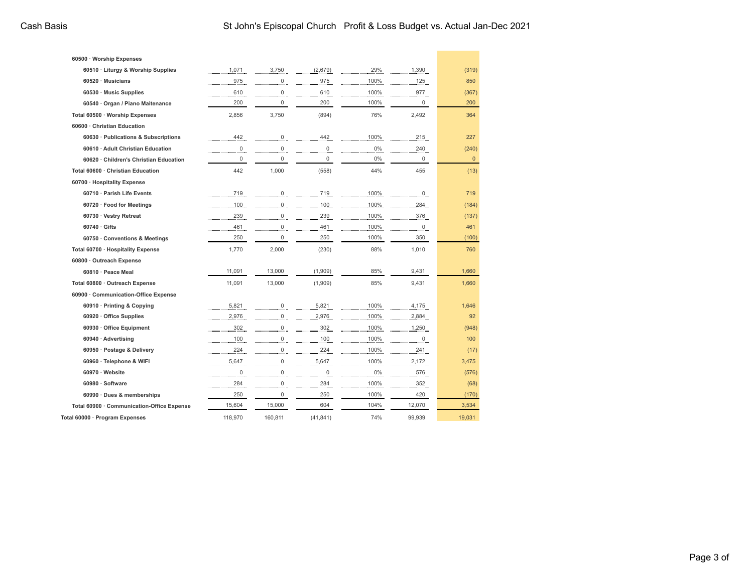| 60500 · Worship Expenses                   |                     |                |             |       |        |             |
|--------------------------------------------|---------------------|----------------|-------------|-------|--------|-------------|
| 60510 · Liturgy & Worship Supplies         | 1,071               | 3,750          | (2,679)     | 29%   | 1,390  | (319)       |
| $60520 \cdot$ Musicians                    | 975                 | 0              | 975         | 100%  | 125    | 850         |
| 60530 · Music Supplies                     | 610                 | $\mathsf 0$    | 610         | 100%  | 977    | (367)       |
| 60540 · Organ / Piano Maitenance           | 200                 | 0              | 200         | 100%  | 0      | 200         |
| Total 60500 · Worship Expenses             | 2,856               | 3,750          | (894)       | 76%   | 2,492  | 364         |
| 60600 · Christian Education                |                     |                |             |       |        |             |
| 60630 · Publications & Subscriptions       | 442                 | 0              | 442         | 100%  | 215    | 227         |
| 60610 · Adult Christian Education          | 0                   | 0              | 0           | 0%    | 240    | (240)       |
| 60620 · Children's Christian Education     | $\mathbf 0$         | 0              | $\mathbf 0$ | 0%    | 0      | $\mathbf 0$ |
| Total 60600 · Christian Education          | 442                 | 1,000          | (558)       | 44%   | 455    | (13)        |
| 60700 · Hospitality Expense                |                     |                |             |       |        |             |
| 60710 · Parish Life Events                 | 719                 | 0              | 719         | 100%  | 0      | 719         |
| 60720 · Food for Meetings                  | 100                 | 0              | 100         | 100%  | 284    | (184)       |
| 60730 · Vestry Retreat                     | 239                 | 0              | 239         | 100%  | 376    | (137)       |
| $60740 \cdot$ Gifts                        | 461                 | $\Omega$       | 461         | 100%  | 0      | 461         |
| 60750 · Conventions & Meetings             | 250                 | 0              | 250         | 100%  | 350    | (100)       |
| Total 60700 · Hospitality Expense          | 1,770               | 2,000          | (230)       | 88%   | 1,010  | 760         |
| 60800 · Outreach Expense                   |                     |                |             |       |        |             |
| 60810 · Peace Meal                         | 11,091              | 13,000         | (1,909)     | 85%   | 9,431  | 1,660       |
| Total 60800 · Outreach Expense             | 11.091              | 13.000         | (1,909)     | 85%   | 9.431  | 1,660       |
| 60900 · Communication-Office Expense       |                     |                |             |       |        |             |
| 60910 · Printing & Copying                 | 5,821               | 0              | 5,821       | 100%  | 4,175  | 1,646       |
| 60920 · Office Supplies                    | 2,976               | 0              | 2,976       | 100%  | 2,884  | 92          |
| 60930 · Office Equipment                   | 302                 | 0              | 302         | 100%  | 1,250  | (948)       |
| 60940 · Advertising                        | 100                 | $\overline{0}$ | 100         | 100%  | 0      | 100         |
| 60950 · Postage & Delivery                 | 224                 | $\overline{0}$ | 224         | 100%  | 241    | (17)        |
| 60960 · Telephone & WIFI                   | 5,647               | $\mathsf 0$    | 5,647       | 100%  | 2,172  | 3,475       |
| 60970 · Website                            | $\mathsf{O}\xspace$ | $\Omega$       | 0           | $0\%$ | 576    | (576)       |
| 60980 · Software                           | 284                 | $\overline{0}$ | 284         | 100%  | 352    | (68)        |
| 60990 · Dues & memberships                 | 250                 | 0              | 250         | 100%  | 420    | (170)       |
| Total 60900 · Communication-Office Expense | 15,604              | 15,000         | 604         | 104%  | 12,070 | 3,534       |
| Total 60000 · Program Expenses             | 118,970             | 160,811        | (41, 841)   | 74%   | 99,939 | 19,031      |
|                                            |                     |                |             |       |        |             |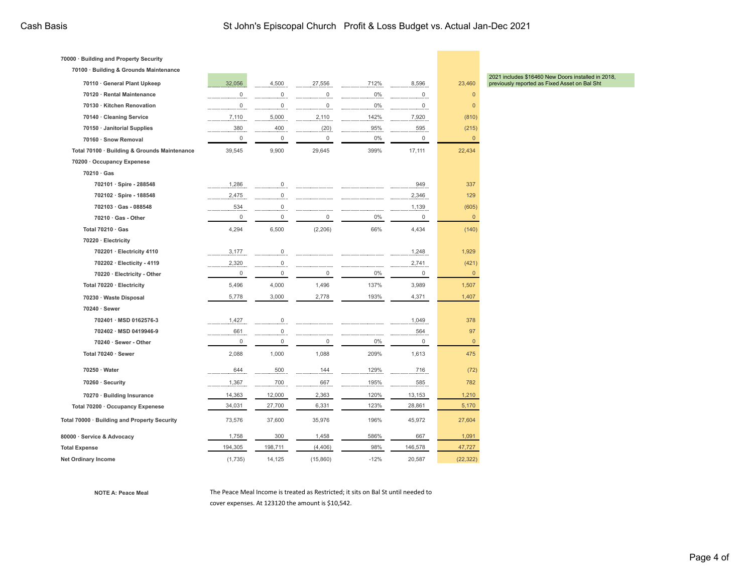| 70000 · Building and Property Security<br>70100 · Building & Grounds Maintenance |                     |                    |           |           |                    |                         |
|----------------------------------------------------------------------------------|---------------------|--------------------|-----------|-----------|--------------------|-------------------------|
|                                                                                  |                     | 4,500              |           |           |                    |                         |
| 70110 · General Plant Upkeep<br>70120 · Rental Maintenance                       | 32,056              |                    | 27,556    | 712%      | 8,596              | 23,460                  |
|                                                                                  | $\mathsf 0$         | $\mathsf 0$        | 0         | 0%        | $\mathbf 0$        | $\mathbf{0}$            |
| 70130 · Kitchen Renovation                                                       | $\mathsf{O}\xspace$ | $\mathsf 0$        | 0         | $0\%$     | $\mathbf 0$        | $\mathbf{0}$            |
| 70140 · Cleaning Service                                                         | 7,110               | 5,000              | 2,110     | 142%      | 7,920              | (810)                   |
| 70150 · Janitorial Supplies                                                      | 380<br>$\mathbf{0}$ | 400<br>$\mathbf 0$ | (20)<br>0 | 95%<br>0% | 595<br>$\mathbf 0$ | (215)<br>$\overline{0}$ |
| 70160 · Snow Removal                                                             |                     |                    |           |           |                    |                         |
| Total 70100 · Building & Grounds Maintenance                                     | 39,545              | 9,900              | 29,645    | 399%      | 17,111             | 22,434                  |
| 70200 · Occupancy Expenese                                                       |                     |                    |           |           |                    |                         |
| 70210 Gas                                                                        |                     |                    |           |           |                    |                         |
| 702101 · Spire - 288548                                                          | 1,286               | $\overline{0}$     |           |           | 949                | 337                     |
| 702102 · Spire - 188548                                                          | 2,475               | $\overline{0}$     |           |           | 2,346              | 129                     |
| 702103 · Gas - 088548                                                            | 534                 | $\overline{0}$     |           |           | 1,139              | (605)                   |
| $70210 \cdot Gas$ - Other                                                        | $\mathsf{O}\xspace$ | 0                  | 0         | $0\%$     | $\mathsf 0$        | $\mathbf 0$             |
| Total 70210 · Gas                                                                | 4,294               | 6,500              | (2, 206)  | 66%       | 4,434              | (140)                   |
| 70220 · Electricity                                                              |                     |                    |           |           |                    |                         |
| 702201 · Electricity 4110                                                        | 3,177               | 0                  |           |           | 1,248              | 1,929                   |
| 702202 · Electicity - 4119                                                       | 2,320               | 0                  |           |           | 2,741              | (421)                   |
| 70220 · Electricity - Other                                                      | $\mathsf{O}\xspace$ | 0                  | 0         | $0\%$     | $\mathsf 0$        | $\mathsf 0$             |
| Total 70220 · Electricity                                                        | 5,496               | 4,000              | 1,496     | 137%      | 3,989              | 1,507                   |
| 70230 · Waste Disposal                                                           | 5,778               | 3,000              | 2,778     | 193%      | 4,371              | 1,407                   |
| 70240 · Sewer                                                                    |                     |                    |           |           |                    |                         |
| 702401 · MSD 0162576-3                                                           | 1,427               | $\overline{0}$     |           |           | 1,049              | 378                     |
| 702402 · MSD 0419946-9                                                           | 661                 | 0                  |           |           | 564                | 97                      |
| 70240 · Sewer - Other                                                            | $\mathsf 0$         | $\mathsf 0$        | 0         | 0%        | $\mathsf 0$        | $\mathbf 0$             |
| Total 70240 · Sewer                                                              | 2,088               | 1,000              | 1,088     | 209%      | 1,613              | 475                     |
| 70250 · Water                                                                    | 644                 | 500                | 144       | 129%      | 716                | (72)                    |
| 70260 · Security                                                                 | 1,367               | 700                | 667       | 195%      | 585                | 782                     |
| 70270 · Building Insurance                                                       | 14,363              | 12,000             | 2,363     | 120%      | 13,153             | 1,210                   |
| Total 70200 · Occupancy Expenese                                                 | 34,031              | 27,700             | 6,331     | 123%      | 28,861             | 5,170                   |
| Total 70000 · Building and Property Security                                     | 73,576              | 37,600             | 35,976    | 196%      | 45,972             | 27,604                  |
| 80000 · Service & Advocacy                                                       | 1,758               | 300                | 1,458     | 586%      | 667                | 1,091                   |
| <b>Total Expense</b>                                                             | 194,305             | 198,711            | (4, 406)  | 98%       | 146,578            | 47,727                  |
| Net Ordinary Income                                                              | (1,735)             | 14,125             | (15,860)  | $-12%$    | 20,587             | (22, 322)               |

2021 includes \$16460 New Doors installed in 2018, previously reported as Fixed Asset on Bal Sht

**NOTE A: Peace Meal** The Peace Meal Income is treated as Restricted; it sits on Bal St until needed to cover expenses. At 123120 the amount is \$10,542.